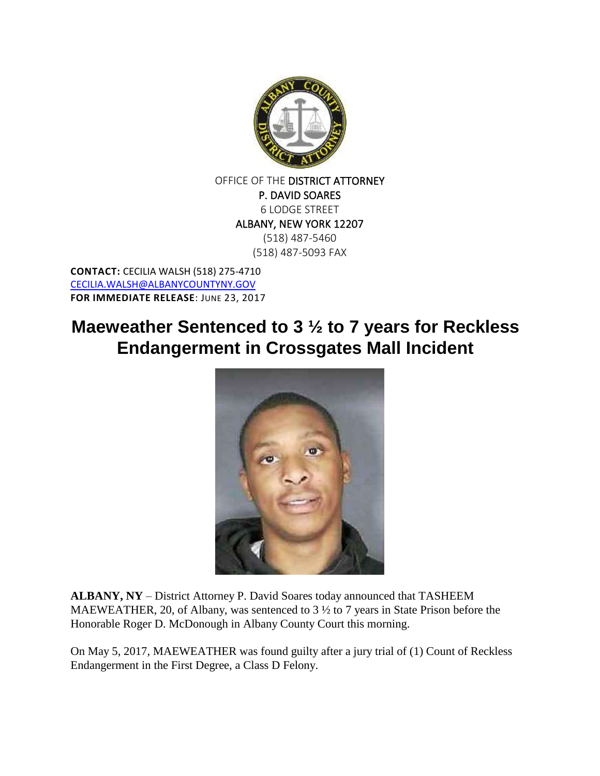

OFFICE OF THE DISTRICT ATTORNEY P. DAVID SOARES 6 LODGE STREET ALBANY, NEW YORK 12207 (518) 487-5460 (518) 487-5093 FAX

**CONTACT:** CECILIA WALSH (518) 275-4710 [CECILIA.WALSH@ALBANYCOUNTYNY.GOV](mailto:CECILIA.WALSH@ALBANYCOUNTYNY.GOV) **FOR IMMEDIATE RELEASE**: JUNE 23, 2017

## **Maeweather Sentenced to 3 ½ to 7 years for Reckless Endangerment in Crossgates Mall Incident**



**ALBANY, NY** – District Attorney P. David Soares today announced that TASHEEM MAEWEATHER, 20, of Albany, was sentenced to 3  $\frac{1}{2}$  to 7 years in State Prison before the Honorable Roger D. McDonough in Albany County Court this morning.

On May 5, 2017, MAEWEATHER was found guilty after a jury trial of (1) Count of Reckless Endangerment in the First Degree, a Class D Felony.